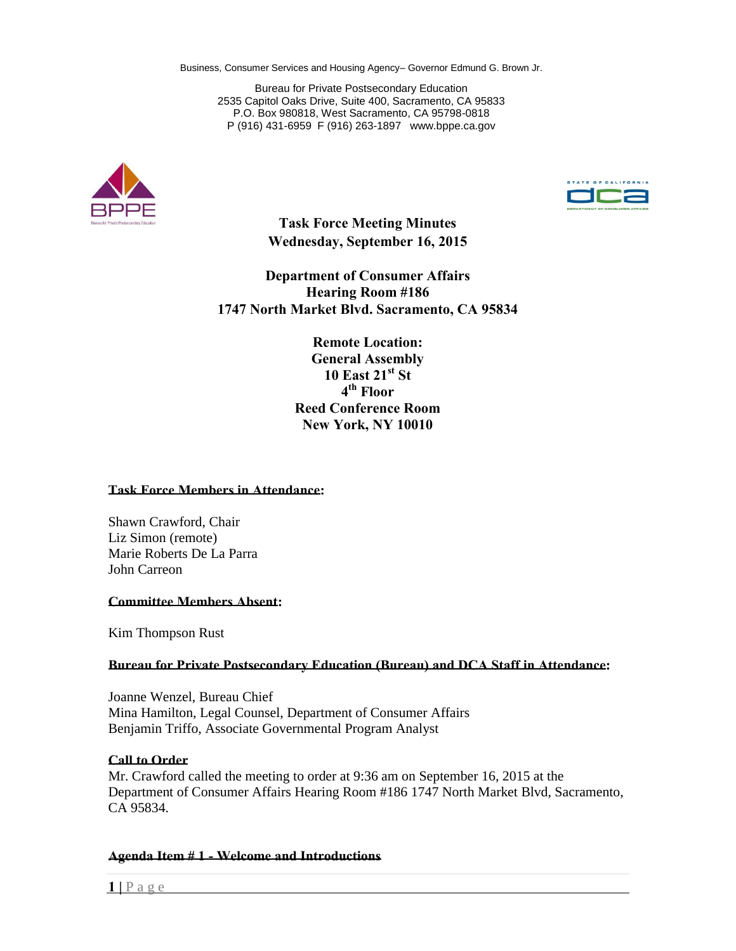P (916) 431-6959 F (916) 263-1897 [www.bppe.ca.gov](http://www.bppe.ca.gov/) Bureau for Private Postsecondary Education 2535 Capitol Oaks Drive, Suite 400, Sacramento, CA 95833 P.O. Box 980818, West Sacramento, CA 95798-0818





**Task Force Meeting Minutes Wednesday, September 16, 2015**

**Department of Consumer Affairs Hearing Room #186 1747 North Market Blvd. Sacramento, CA 95834**

> **10 East 21<sup>st</sup> St<sup>1</sup>**<br>**4<sup>th</sup> Floor**  $4^{\text{th}}$  Floor  **Reed Conference Room Remote Location: General Assembly New York, NY 10010**

#### **Task Force Members in Attendance:**

Shawn Crawford, Chair Liz Simon (remote) Marie Roberts De La Parra John Carreon

### **Committee Members Absent:**

Kim Thompson Rust

# **Bureau for Private Postsecondary Education (Bureau) and DCA Staff in Attendance:**

 Benjamin Triffo, Associate Governmental Program Analyst Joanne Wenzel, Bureau Chief Mina Hamilton, Legal Counsel, Department of Consumer Affairs

### **Call to Order**

 Mr. Crawford called the meeting to order at 9:36 am on September 16, 2015 at the Department of Consumer Affairs Hearing Room #186 1747 North Market Blvd, Sacramento, CA 95834.

### **Agenda Item # 1 - Welcome and Introductions**

 $1 \,$   $\vert$   $P$  a g e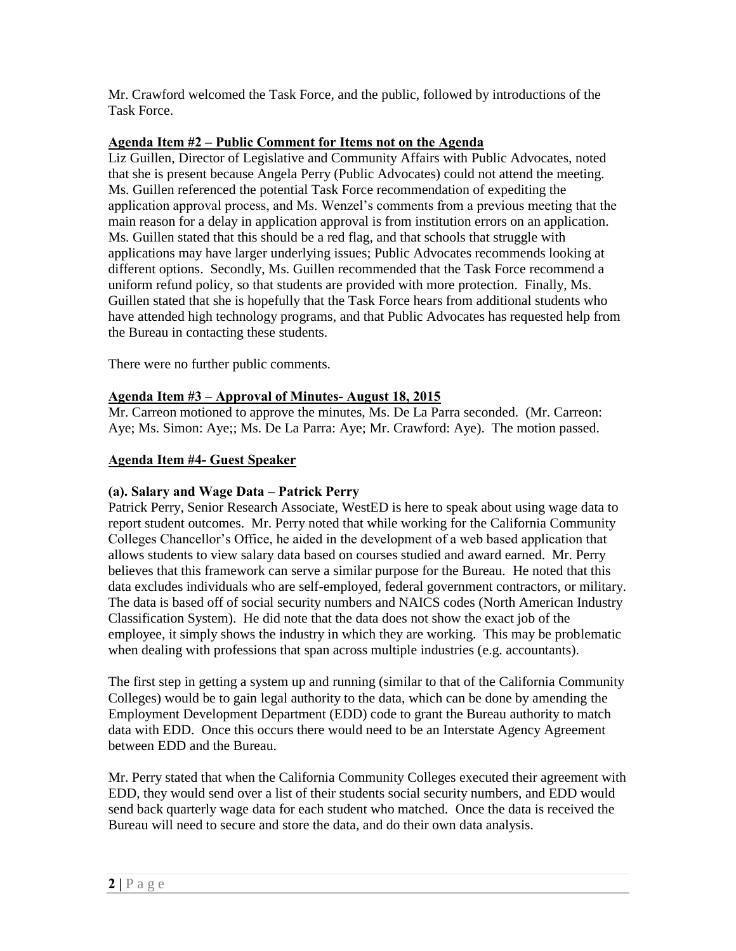Mr. Crawford welcomed the Task Force, and the public, followed by introductions of the Task Force.

# **Agenda Item #2 – Public Comment for Items not on the Agenda**

 that she is present because Angela Perry (Public Advocates) could not attend the meeting. Liz Guillen, Director of Legislative and Community Affairs with Public Advocates, noted Ms. Guillen referenced the potential Task Force recommendation of expediting the application approval process, and Ms. Wenzel's comments from a previous meeting that the main reason for a delay in application approval is from institution errors on an application. Ms. Guillen stated that this should be a red flag, and that schools that struggle with applications may have larger underlying issues; Public Advocates recommends looking at different options. Secondly, Ms. Guillen recommended that the Task Force recommend a uniform refund policy, so that students are provided with more protection. Finally, Ms. Guillen stated that she is hopefully that the Task Force hears from additional students who have attended high technology programs, and that Public Advocates has requested help from the Bureau in contacting these students.

There were no further public comments.

# **Agenda Item #3 – Approval of Minutes- August 18, 2015**

Mr. Carreon motioned to approve the minutes, Ms. De La Parra seconded. (Mr. Carreon: Aye; Ms. Simon: Aye;; Ms. De La Parra: Aye; Mr. Crawford: Aye). The motion passed.

# **Agenda Item #4- Guest Speaker**

## **(a). Salary and Wage Data – Patrick Perry**

 report student outcomes. Mr. Perry noted that while working for the California Community believes that this framework can serve a similar purpose for the Bureau. He noted that this data excludes individuals who are self-employed, federal government contractors, or military. Classification System). He did note that the data does not show the exact job of the Patrick Perry, Senior Research Associate, WestED is here to speak about using wage data to Colleges Chancellor's Office, he aided in the development of a web based application that allows students to view salary data based on courses studied and award earned. Mr. Perry The data is based off of social security numbers and NAICS codes (North American Industry employee, it simply shows the industry in which they are working. This may be problematic when dealing with professions that span across multiple industries (e.g. accountants).

 Colleges) would be to gain legal authority to the data, which can be done by amending the data with EDD. Once this occurs there would need to be an Interstate Agency Agreement between EDD and the Bureau. The first step in getting a system up and running (similar to that of the California Community Employment Development Department (EDD) code to grant the Bureau authority to match

Mr. Perry stated that when the California Community Colleges executed their agreement with EDD, they would send over a list of their students social security numbers, and EDD would send back quarterly wage data for each student who matched. Once the data is received the Bureau will need to secure and store the data, and do their own data analysis.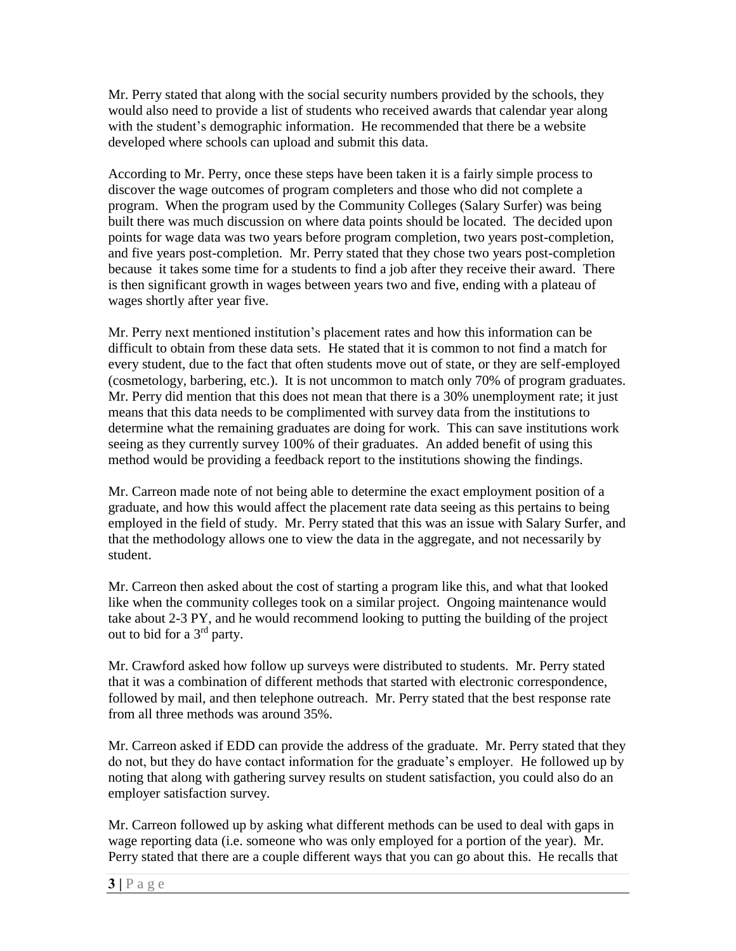would also need to provide a list of students who received awards that calendar year along with the student's demographic information. He recommended that there be a website Mr. Perry stated that along with the social security numbers provided by the schools, they developed where schools can upload and submit this data.

 According to Mr. Perry, once these steps have been taken it is a fairly simple process to discover the wage outcomes of program completers and those who did not complete a points for wage data was two years before program completion, two years post-completion, because it takes some time for a students to find a job after they receive their award. There program. When the program used by the Community Colleges (Salary Surfer) was being built there was much discussion on where data points should be located. The decided upon and five years post-completion. Mr. Perry stated that they chose two years post-completion is then significant growth in wages between years two and five, ending with a plateau of wages shortly after year five.

 Mr. Perry did mention that this does not mean that there is a 30% unemployment rate; it just Mr. Perry next mentioned institution's placement rates and how this information can be difficult to obtain from these data sets. He stated that it is common to not find a match for every student, due to the fact that often students move out of state, or they are self-employed (cosmetology, barbering, etc.). It is not uncommon to match only 70% of program graduates. means that this data needs to be complimented with survey data from the institutions to determine what the remaining graduates are doing for work. This can save institutions work seeing as they currently survey 100% of their graduates. An added benefit of using this method would be providing a feedback report to the institutions showing the findings.

 Mr. Carreon made note of not being able to determine the exact employment position of a that the methodology allows one to view the data in the aggregate, and not necessarily by graduate, and how this would affect the placement rate data seeing as this pertains to being employed in the field of study. Mr. Perry stated that this was an issue with Salary Surfer, and student.

out to bid for a  $3<sup>rd</sup>$  party. Mr. Carreon then asked about the cost of starting a program like this, and what that looked like when the community colleges took on a similar project. Ongoing maintenance would take about 2-3 PY, and he would recommend looking to putting the building of the project

 that it was a combination of different methods that started with electronic correspondence, Mr. Crawford asked how follow up surveys were distributed to students. Mr. Perry stated followed by mail, and then telephone outreach. Mr. Perry stated that the best response rate from all three methods was around 35%.

 Mr. Carreon asked if EDD can provide the address of the graduate. Mr. Perry stated that they do not, but they do have contact information for the graduate's employer. He followed up by noting that along with gathering survey results on student satisfaction, you could also do an employer satisfaction survey.

 Perry stated that there are a couple different ways that you can go about this. He recalls that Mr. Carreon followed up by asking what different methods can be used to deal with gaps in wage reporting data (i.e. someone who was only employed for a portion of the year). Mr.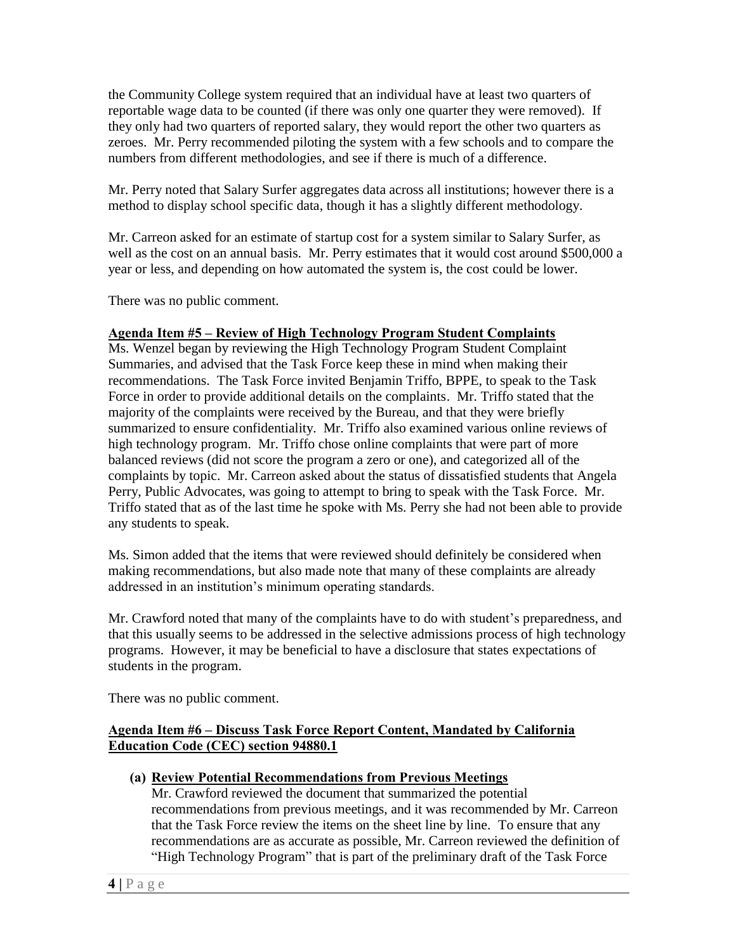reportable wage data to be counted (if there was only one quarter they were removed). If numbers from different methodologies, and see if there is much of a difference. the Community College system required that an individual have at least two quarters of they only had two quarters of reported salary, they would report the other two quarters as zeroes. Mr. Perry recommended piloting the system with a few schools and to compare the

 Mr. Perry noted that Salary Surfer aggregates data across all institutions; however there is a method to display school specific data, though it has a slightly different methodology.

 well as the cost on an annual basis. Mr. Perry estimates that it would cost around \$500,000 a year or less, and depending on how automated the system is, the cost could be lower. Mr. Carreon asked for an estimate of startup cost for a system similar to Salary Surfer, as

There was no public comment.

## **Agenda Item #5 – Review of High Technology Program Student Complaints**

 summarized to ensure confidentiality. Mr. Triffo also examined various online reviews of high technology program. Mr. Triffo chose online complaints that were part of more balanced reviews (did not score the program a zero or one), and categorized all of the Triffo stated that as of the last time he spoke with Ms. Perry she had not been able to provide Ms. Wenzel began by reviewing the High Technology Program Student Complaint Summaries, and advised that the Task Force keep these in mind when making their recommendations. The Task Force invited Benjamin Triffo, BPPE, to speak to the Task Force in order to provide additional details on the complaints. Mr. Triffo stated that the majority of the complaints were received by the Bureau, and that they were briefly complaints by topic. Mr. Carreon asked about the status of dissatisfied students that Angela Perry, Public Advocates, was going to attempt to bring to speak with the Task Force. Mr. any students to speak.

Ms. Simon added that the items that were reviewed should definitely be considered when making recommendations, but also made note that many of these complaints are already addressed in an institution's minimum operating standards.

 programs. However, it may be beneficial to have a disclosure that states expectations of Mr. Crawford noted that many of the complaints have to do with student's preparedness, and that this usually seems to be addressed in the selective admissions process of high technology students in the program.

There was no public comment.

# **Agenda Item #6 – Discuss Task Force Report Content, Mandated by California Education Code (CEC) section 94880.1**

## **(a) Review Potential Recommendations from Previous Meetings**

 that the Task Force review the items on the sheet line by line. To ensure that any "High Technology Program" that is part of the preliminary draft of the Task Force Mr. Crawford reviewed the document that summarized the potential recommendations from previous meetings, and it was recommended by Mr. Carreon recommendations are as accurate as possible, Mr. Carreon reviewed the definition of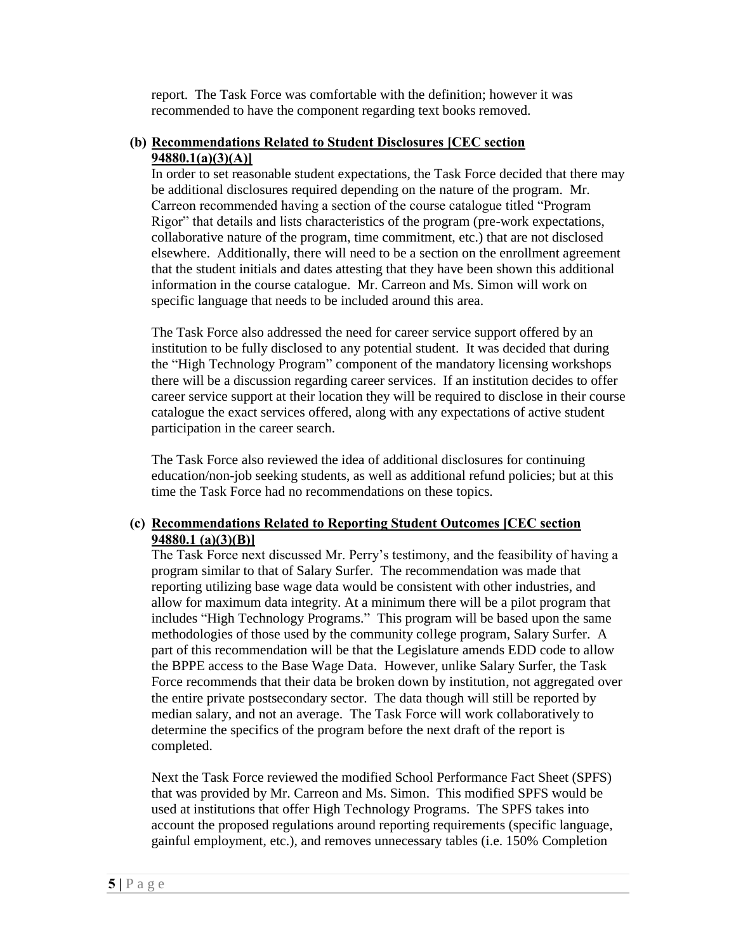report. The Task Force was comfortable with the definition; however it was recommended to have the component regarding text books removed.

# **(b) Recommendations Related to Student Disclosures [CEC section 94880.1(a)(3)(A)]**

 In order to set reasonable student expectations, the Task Force decided that there may elsewhere. Additionally, there will need to be a section on the enrollment agreement that the student initials and dates attesting that they have been shown this additional be additional disclosures required depending on the nature of the program. Mr. Carreon recommended having a section of the course catalogue titled "Program Rigor" that details and lists characteristics of the program (pre-work expectations, collaborative nature of the program, time commitment, etc.) that are not disclosed information in the course catalogue. Mr. Carreon and Ms. Simon will work on specific language that needs to be included around this area.

The Task Force also addressed the need for career service support offered by an institution to be fully disclosed to any potential student. It was decided that during the "High Technology Program" component of the mandatory licensing workshops there will be a discussion regarding career services. If an institution decides to offer career service support at their location they will be required to disclose in their course catalogue the exact services offered, along with any expectations of active student participation in the career search.

 time the Task Force had no recommendations on these topics. The Task Force also reviewed the idea of additional disclosures for continuing education/non-job seeking students, as well as additional refund policies; but at this

## **(c) Recommendations Related to Reporting Student Outcomes [CEC section 94880.1 (a)(3)(B)]**

 reporting utilizing base wage data would be consistent with other industries, and includes "High Technology Programs." This program will be based upon the same median salary, and not an average. The Task Force will work collaboratively to The Task Force next discussed Mr. Perry's testimony, and the feasibility of having a program similar to that of Salary Surfer. The recommendation was made that allow for maximum data integrity. At a minimum there will be a pilot program that methodologies of those used by the community college program, Salary Surfer. A part of this recommendation will be that the Legislature amends EDD code to allow the BPPE access to the Base Wage Data. However, unlike Salary Surfer, the Task Force recommends that their data be broken down by institution, not aggregated over the entire private postsecondary sector. The data though will still be reported by determine the specifics of the program before the next draft of the report is completed.

 used at institutions that offer High Technology Programs. The SPFS takes into Next the Task Force reviewed the modified School Performance Fact Sheet (SPFS) that was provided by Mr. Carreon and Ms. Simon. This modified SPFS would be account the proposed regulations around reporting requirements (specific language, gainful employment, etc.), and removes unnecessary tables (i.e. 150% Completion